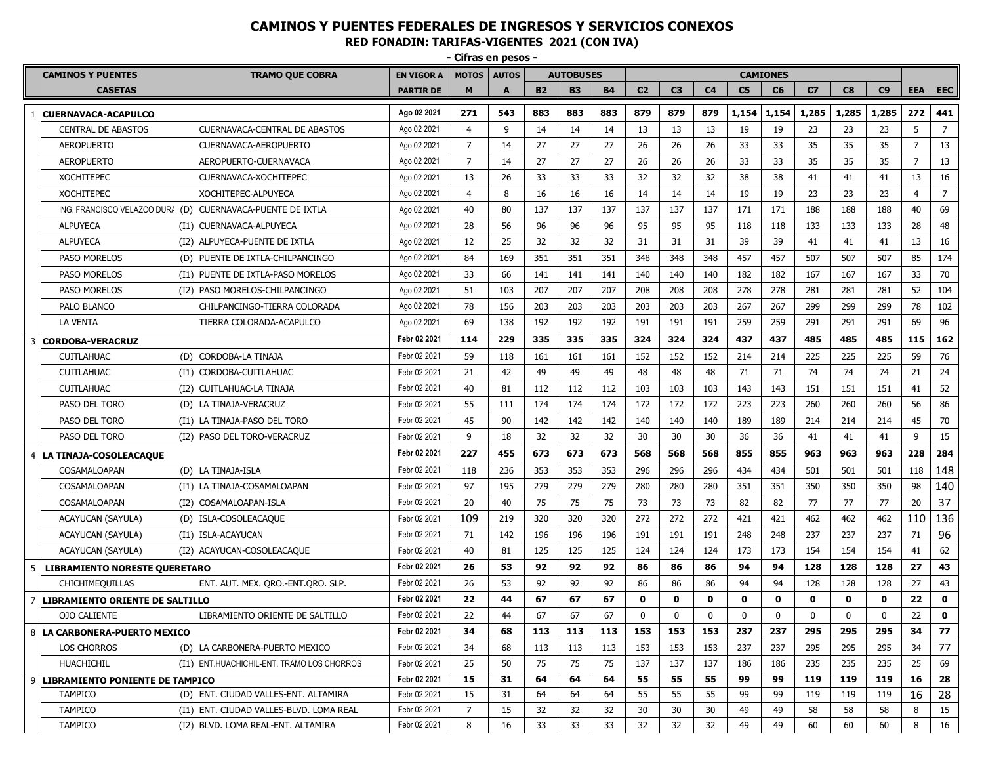**- Cifras en pesos - CAMINOS Y PUENTES TRAMO QUE COBRA EN VIGOR A MOTOS AUTOS AUTOBUSES CAMIONES CASETAS PARTIR DE M A B2 B3 B4 C2 C3 C4 C5 C6 C7 C8 C9 EEA EEC** 1 **CUERNAVACA-ACAPULCO Ago 02 2021 271 543 883 883 883 879 879 879 1,154 1,154 1,285 1,285 1,285 272 441** CENTRAL DE ABASTOS CUERNAVACA-CENTRAL DE ABASTOS (Ago 02 2021 | 4 | 9 | 14 | 14 | 14 | 13 | 13 | 13 | 19 | 19 | 23 | 23 | 23 | 5 | 7 AEROPUERTO CUERNAVACA-AEROPUERTO Ago 02 2021 7 14 27 27 27 26 26 26 33 33 35 35 35 7 13 AEROPUERTO AEROPUERTO-CUERNAVACA Ago 02 2021 7 14 27 27 27 26 26 26 33 33 35 35 35 7 13 XOCHITEPEC CUERNAVACA-XOCHITEPEC Ago 02 2021 13 26 33 33 33 32 32 32 38 38 41 41 41 13 16 XOCHITEPEC XOCHITEPEC-ALPUYECA | Ago 02 2021 | 4 | 8 | 16 | 16 | 16 | 14 | 14 | 14 | 19 | 23 | 23 | 23 | 4 | 7 ING. FRANCISCO VELAZCO DURA (D) CUERNAVACA-PUENTE DE IXTLA | Ago 02 2021 | 40 | 80 | 137 | 137 | 137 | 137 | 137 | 137 | 171 | 171 | 188 | 188 | 189 | 40 | 69 ALPUYECA (I1) CUERNAVACA-ALPUYECA | Ago 02 2021 | 28 | 56 | 96 | 96 | 96 | 95 | 95 | 95 | 118 | 118 | 133 | 133 | 133 | 28 | 48 ALPUYECA (I2) ALPUYECA-PUENTE DE IXTLA Ago 02 2021 12 25 32 32 32 31 31 31 39 39 41 41 41 13 16 PASO MORELOS (D) PUENTE DE IXTLA-CHILPANCINGO | Ago 02 2021 | 84 | 169 | 351 | 351 | 351 | 348 | 348 | 348 | 457 | 457 | 507 | 507 | 507 | 85 | 174 PASO MORELOS (I1) PUENTE DE IXTLA-PASO MORELOS | Ago 02 2021 | 33 | 66 | 141 | 141 | 141 | 140 | 140 | 140 | 182 | 182 | 167 | 167 | 167 | 33 | 70 PASO MORELOS (I2) PASO MORELOS-CHILPANCINGO | Ago 02 2021 | 51 | 103 | 207 | 207 | 207 | 208 | 208 | 278 | 278 | 278 | 281 | 281 | 281 | 52 | 104 PALO BLANCO CHILPANCINGO-TIERRA COLORADA Ago 02 2021 78 156 203 203 203 203 203 203 267 267 299 299 299 78 102 LA VENTA TIERRA COLORADA-ACAPULCO Ago 02 2021 69 138 192 192 192 191 191 191 259 259 291 291 291 69 96 3 **CORDOBA-VERACRUZ Febr 02 2021 114 229 335 335 335 324 324 324 437 437 485 485 485 115 162** CUITLAHUAC (D) CORDOBA-LA TINAJA Febr 02 2021 59 118 161 161 161 152 152 152 214 214 225 225 225 59 76 CUITLAHUAC (I1) CORDOBA-CUITLAHUAC Febr 02 2021 21 42 49 49 49 48 48 48 71 71 74 74 74 21 24 CUITLAHUAC (I2) CUITLAHUAC-LA TINAJA Febr 02 2021 40 81 112 112 112 103 103 103 143 143 151 151 151 41 52 PASO DEL TORO (D) LA TINAJA-VERACRUZ Febr 02 2021 55 111 174 174 174 172 172 172 223 223 260 260 260 56 86 PASO DEL TORO (I1) LA TINAJA-PASO DEL TORO Febr 02 2021 45 90 142 142 142 140 140 140 189 189 214 214 214 45 70 PASO DEL TORO (I2) PASO DEL TORO-VERACRUZ Febr 02 2021 9 18 32 32 32 30 30 30 36 36 41 41 41 9 15 4 **LA TINAJA-COSOLEACAQUE Febr 02 2021 227 455 673 673 673 568 568 568 855 855 963 963 963 228 284** COSAMALOAPAN (D) LA TINAJA-ISLA | Febr02 2021 | 118 | 236 | 353 | 353 | 295 | 296 | 296 | 434 | 434 | 501 | 501 | 501 | 118 |  $148$ COSAMALOAPAN (I1) LA TINAJA-COSAMALOAPAN Febr 02 2021 97 195 279 279 279 280 280 280 351 351 350 350 350 98 140 COSAMALOAPAN (I2) COSAMALOAPAN-ISLA Febr 02 2021 | 20 | 40 | 75 | 75 | 73 | 73 | 73 | 82 | 82 | 77 | 77 | 77 | 20 |  $37$ ACAYUCAN (SAYULA) (D) ISLA-COSOLEACAQUE | Febr02 2021 |  $109$  | 219 | 320 | 320 | 272 | 272 | 272 | 421 | 462 | 462 | 462 | 110 | 136 ACAYUCAN (SAYULA) (I1) ISLA-ACAYUCAN Febr 02 2021 71 142 196 196 196 191 191 191 248 248 237 237 237 71 96 ACAYUCAN (SAYULA) (I2) ACAYUCAN-COSOLEACAQUE Febr 02 2021 | 40 | 81 | 125 | 125 | 125 | 124 | 124 | 124 | 173 | 173 | 154 | 154 | 154 | 41 | 62 5 **LIBRAMIENTO NORESTE QUERETARO Febr 02 2021 26 53 92 92 92 86 86 86 94 94 128 128 128 27 43** CHICHIMEQUILLAS ENT. AUT. MEX. QRO.-ENT.QRO. SLP. Febr 02 2021 26 53 92 92 92 86 86 86 94 94 128 128 128 27 43 7 **LIBRAMIENTO ORIENTE DE SALTILLO Febr 02 2021 22 44 67 67 67 0 0 0 0 0 0 0 0 22 0** OJO CALIENTE LIBRAMIENTO ORIENTE DE SALTILLO Febr 02 2021 22 44 67 67 67 0 0 0 0 0 0 0 0 22 **0** 8 **LA CARBONERA-PUERTO MEXICO Febr 02 2021 34 68 113 113 113 153 153 153 237 237 295 295 295 34 77** LOS CHORROS (D) LA CARBONERA-PUERTO MEXICO Febr 02 2021 34 68 113 113 113 153 153 153 237 237 295 295 295 34 77 HUACHICHIL (I1) ENT.HUACHICHIL-ENT. TRAMO LOS CHORROS Febr 02 2021 25 50 75 75 75 137 137 137 186 186 235 235 235 25 69 9 **LIBRAMIENTO PONIENTE DE TAMPICO Febr 02 2021 15 31 64 64 64 55 55 55 99 99 119 119 119 16 28** TAMPICO (D) ENT. CIUDAD VALLES-ENT. ALTAMIRA Febr 02 2021 15 31 64 64 64 55 55 55 99 99 119 119 119 16 28 TAMPICO (I1) ENT. CIUDAD VALLES-BLVD. LOMA REAL Febr 02 2021 | 7 | 15 | 32 | 32 | 32 | 30 | 30 | 30 | 49 | 49 | 58 | 58 | 58 | 8 | 15 TAMPICO (I2) BLVD. LOMA REAL-ENT. ALTAMIRA Febr 02 2021 8 16 33 33 33 34 32 32 49 49 49 60 60 60 8 16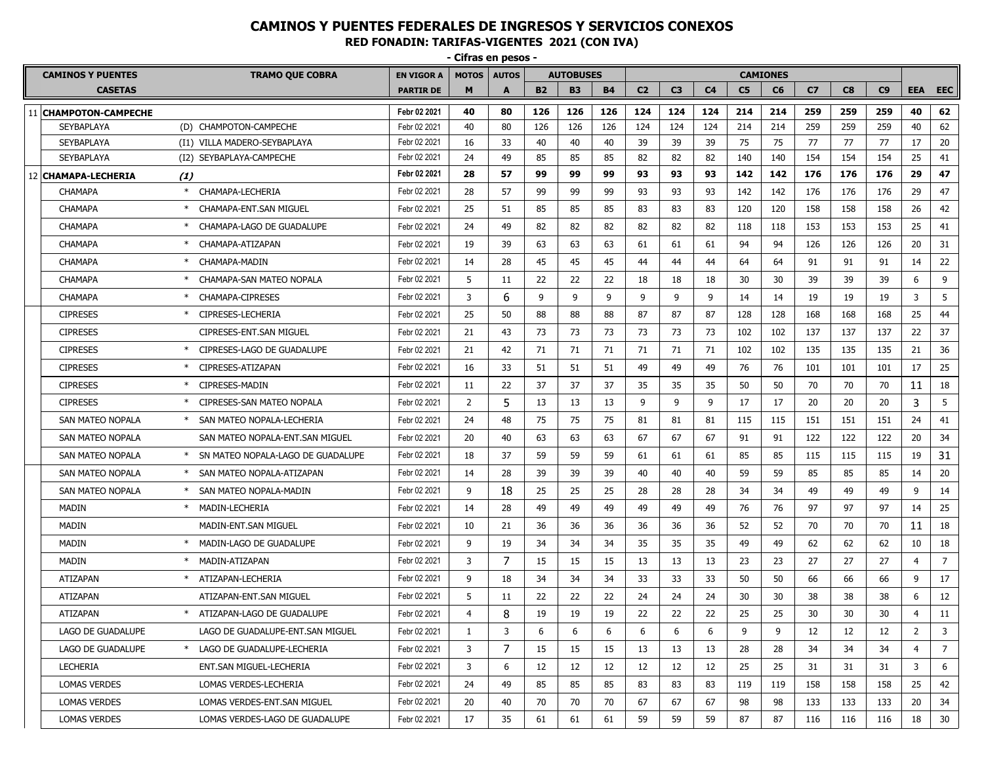**- Cifras en pesos -**

| <b>CAMINOS Y PUENTES</b><br><b>TRAMO QUE COBRA</b> |     | <b>EN VIGOR A</b>                   | <b>MOTOS</b>     | <b>AUTOS</b><br><b>AUTOBUSES</b> |    |           | <b>CAMIONES</b> |           |                |                |                |                |     |                |     |     |                |                |
|----------------------------------------------------|-----|-------------------------------------|------------------|----------------------------------|----|-----------|-----------------|-----------|----------------|----------------|----------------|----------------|-----|----------------|-----|-----|----------------|----------------|
| <b>CASETAS</b>                                     |     |                                     | <b>PARTIR DE</b> | M                                | A  | <b>B2</b> | <b>B3</b>       | <b>B4</b> | C <sub>2</sub> | C <sub>3</sub> | C <sub>4</sub> | C <sub>5</sub> | C6  | C <sub>7</sub> | C8  | C9  | <b>EEA</b>     | <b>EEC</b>     |
| 11 CHAMPOTON-CAMPECHE                              |     |                                     | Febr 02 2021     | 40                               | 80 | 126       | 126             | 126       | 124            | 124            | 124            | 214            | 214 | 259            | 259 | 259 | 40             | 62             |
| <b>SEYBAPLAYA</b>                                  |     | (D) CHAMPOTON-CAMPECHE              | Febr 02 2021     | 40                               | 80 | 126       | 126             | 126       | 124            | 124            | 124            | 214            | 214 | 259            | 259 | 259 | 40             | 62             |
| <b>SEYBAPLAYA</b>                                  |     | (I1) VILLA MADERO-SEYBAPLAYA        | Febr 02 2021     | 16                               | 33 | 40        | 40              | 40        | 39             | 39             | 39             | 75             | 75  | 77             | 77  | 77  | 17             | 20             |
| <b>SEYBAPLAYA</b>                                  |     | (I2) SEYBAPLAYA-CAMPECHE            | Febr 02 2021     | 24                               | 49 | 85        | 85              | 85        | 82             | 82             | 82             | 140            | 140 | 154            | 154 | 154 | 25             | 41             |
| 12 CHAMAPA-LECHERIA                                | (1) |                                     | Febr 02 2021     | 28                               | 57 | 99        | 99              | 99        | 93             | 93             | 93             | 142            | 142 | 176            | 176 | 176 | 29             | 47             |
| <b>CHAMAPA</b>                                     |     | CHAMAPA-LECHERIA                    | Febr 02 2021     | 28                               | 57 | 99        | 99              | 99        | 93             | 93             | 93             | 142            | 142 | 176            | 176 | 176 | 29             | 47             |
| <b>CHAMAPA</b>                                     |     | * CHAMAPA-ENT.SAN MIGUEL            | Febr 02 2021     | 25                               | 51 | 85        | 85              | 85        | 83             | 83             | 83             | 120            | 120 | 158            | 158 | 158 | 26             | 42             |
| <b>CHAMAPA</b>                                     |     | CHAMAPA-LAGO DE GUADALUPE           | Febr 02 2021     | 24                               | 49 | 82        | 82              | 82        | 82             | 82             | 82             | 118            | 118 | 153            | 153 | 153 | 25             | 41             |
| <b>CHAMAPA</b>                                     |     | * CHAMAPA-ATIZAPAN                  | Febr 02 2021     | 19                               | 39 | 63        | 63              | 63        | 61             | 61             | 61             | 94             | 94  | 126            | 126 | 126 | 20             | 31             |
| <b>CHAMAPA</b>                                     |     | * CHAMAPA-MADIN                     | Febr 02 2021     | 14                               | 28 | 45        | 45              | 45        | 44             | 44             | 44             | 64             | 64  | 91             | 91  | 91  | 14             | 22             |
| <b>CHAMAPA</b>                                     |     | * CHAMAPA-SAN MATEO NOPALA          | Febr 02 2021     | 5                                | 11 | 22        | 22              | 22        | 18             | 18             | 18             | 30             | 30  | 39             | 39  | 39  | 6              | 9              |
| <b>CHAMAPA</b>                                     |     | CHAMAPA-CIPRESES                    | Febr 02 2021     | 3                                | 6  | 9         | 9               | 9         | 9              | 9              | 9              | 14             | 14  | 19             | 19  | 19  | 3              | 5              |
| <b>CIPRESES</b>                                    |     | * CIPRESES-LECHERIA                 | Febr 02 2021     | 25                               | 50 | 88        | 88              | 88        | 87             | 87             | 87             | 128            | 128 | 168            | 168 | 168 | 25             | 44             |
| <b>CIPRESES</b>                                    |     | CIPRESES-ENT.SAN MIGUEL             | Febr 02 2021     | 21                               | 43 | 73        | 73              | 73        | 73             | 73             | 73             | 102            | 102 | 137            | 137 | 137 | 22             | 37             |
| <b>CIPRESES</b>                                    |     | * CIPRESES-LAGO DE GUADALUPE        | Febr 02 2021     | 21                               | 42 | 71        | 71              | 71        | 71             | 71             | 71             | 102            | 102 | 135            | 135 | 135 | 21             | 36             |
| <b>CIPRESES</b>                                    |     | CIPRESES-ATIZAPAN                   | Febr 02 2021     | 16                               | 33 | 51        | 51              | 51        | 49             | 49             | 49             | 76             | 76  | 101            | 101 | 101 | 17             | 25             |
| <b>CIPRESES</b>                                    |     | CIPRESES-MADIN                      | Febr 02 2021     | 11                               | 22 | 37        | 37              | 37        | 35             | 35             | 35             | 50             | 50  | 70             | 70  | 70  | 11             | 18             |
| <b>CIPRESES</b>                                    |     | * CIPRESES-SAN MATEO NOPALA         | Febr 02 2021     | 2                                | 5  | 13        | 13              | 13        | 9              | 9              | 9              | 17             | 17  | 20             | 20  | 20  | 3              | 5              |
| SAN MATEO NOPALA                                   |     | * SAN MATEO NOPALA-LECHERIA         | Febr 02 2021     | 24                               | 48 | 75        | 75              | 75        | 81             | 81             | 81             | 115            | 115 | 151            | 151 | 151 | 24             | 41             |
| SAN MATEO NOPALA                                   |     | SAN MATEO NOPALA-ENT.SAN MIGUEL     | Febr 02 2021     | 20                               | 40 | 63        | 63              | 63        | 67             | 67             | 67             | 91             | 91  | 122            | 122 | 122 | 20             | 34             |
| <b>SAN MATEO NOPALA</b>                            |     | * SN MATEO NOPALA-LAGO DE GUADALUPE | Febr 02 2021     | 18                               | 37 | 59        | 59              | 59        | 61             | 61             | 61             | 85             | 85  | 115            | 115 | 115 | 19             | 31             |
| SAN MATEO NOPALA                                   |     | * SAN MATEO NOPALA-ATIZAPAN         | Febr 02 2021     | 14                               | 28 | 39        | 39              | 39        | 40             | 40             | 40             | 59             | 59  | 85             | 85  | 85  | 14             | 20             |
| SAN MATEO NOPALA                                   |     | SAN MATEO NOPALA-MADIN              | Febr 02 2021     | 9                                | 18 | 25        | 25              | 25        | 28             | 28             | 28             | 34             | 34  | 49             | 49  | 49  | 9              | 14             |
| <b>MADIN</b>                                       |     | * MADIN-LECHERIA                    | Febr 02 2021     | 14                               | 28 | 49        | 49              | 49        | 49             | 49             | 49             | 76             | 76  | 97             | 97  | 97  | 14             | 25             |
| MADIN                                              |     | MADIN-ENT.SAN MIGUEL                | Febr 02 2021     | 10                               | 21 | 36        | 36              | 36        | 36             | 36             | 36             | 52             | 52  | 70             | 70  | 70  | 11             | 18             |
| MADIN                                              |     | * MADIN-LAGO DE GUADALUPE           | Febr 02 2021     | 9                                | 19 | 34        | 34              | 34        | 35             | 35             | 35             | 49             | 49  | 62             | 62  | 62  | 10             | 18             |
| <b>MADIN</b>                                       |     | * MADIN-ATIZAPAN                    | Febr 02 2021     | 3                                | 7  | 15        | 15              | 15        | 13             | 13             | 13             | 23             | 23  | 27             | 27  | 27  | $\overline{4}$ | $\overline{7}$ |
| ATIZAPAN                                           |     | * ATIZAPAN-LECHERIA                 | Febr 02 2021     | 9                                | 18 | 34        | 34              | 34        | 33             | 33             | 33             | 50             | 50  | 66             | 66  | 66  | 9              | 17             |
| ATIZAPAN                                           |     | ATIZAPAN-ENT.SAN MIGUEL             | Febr 02 2021     | 5                                | 11 | 22        | 22              | 22        | 24             | 24             | 24             | 30             | 30  | 38             | 38  | 38  | 6              | 12             |
| ATIZAPAN                                           |     | * ATIZAPAN-LAGO DE GUADALUPE        | Febr 02 2021     | $\overline{4}$                   | 8  | 19        | 19              | 19        | 22             | 22             | 22             | 25             | 25  | 30             | 30  | 30  | $\overline{4}$ | 11             |
| LAGO DE GUADALUPE                                  |     | LAGO DE GUADALUPE-ENT.SAN MIGUEL    | Febr 02 2021     | 1                                | 3  | 6         | 6               | 6         | 6              | 6              | 6              | 9              | 9   | 12             | 12  | 12  | $\overline{2}$ | 3              |
| LAGO DE GUADALUPE                                  |     | * LAGO DE GUADALUPE-LECHERIA        | Febr 02 2021     | 3                                | 7  | 15        | 15              | 15        | 13             | 13             | 13             | 28             | 28  | 34             | 34  | 34  | 4              | 7              |
| LECHERIA                                           |     | ENT.SAN MIGUEL-LECHERIA             | Febr 02 2021     | 3                                | 6  | 12        | 12              | 12        | 12             | 12             | 12             | 25             | 25  | 31             | 31  | 31  | 3              | 6              |
| <b>LOMAS VERDES</b>                                |     | LOMAS VERDES-LECHERIA               | Febr 02 2021     | 24                               | 49 | 85        | 85              | 85        | 83             | 83             | 83             | 119            | 119 | 158            | 158 | 158 | 25             | 42             |
| <b>LOMAS VERDES</b>                                |     | LOMAS VERDES-ENT.SAN MIGUEL         | Febr 02 2021     | 20                               | 40 | 70        | 70              | 70        | 67             | 67             | 67             | 98             | 98  | 133            | 133 | 133 | 20             | 34             |
| <b>LOMAS VERDES</b>                                |     | LOMAS VERDES-LAGO DE GUADALUPE      | Febr 02 2021     | 17                               | 35 | 61        | 61              | 61        | 59             | 59             | 59             | 87             | 87  | 116            | 116 | 116 | 18             | 30             |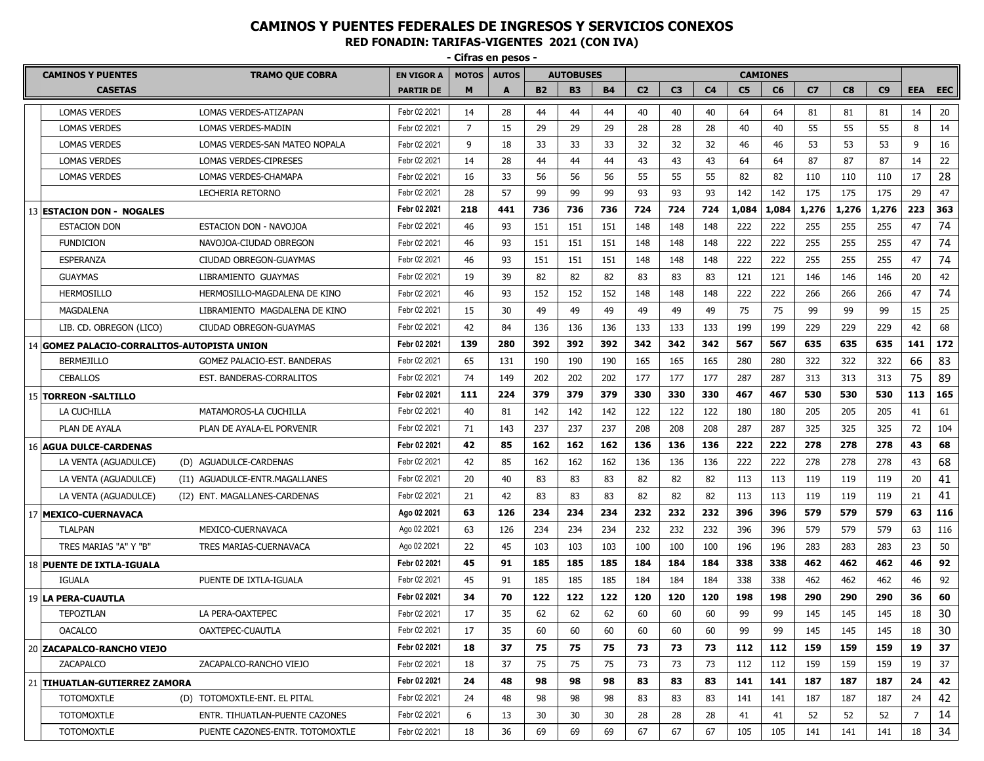|                                             |                                                  |                                 | - Cilias ell pesos |                |              |           |                  |           |                |                |                |                |                 |                |       |       |            |            |
|---------------------------------------------|--------------------------------------------------|---------------------------------|--------------------|----------------|--------------|-----------|------------------|-----------|----------------|----------------|----------------|----------------|-----------------|----------------|-------|-------|------------|------------|
|                                             | <b>CAMINOS Y PUENTES</b>                         | <b>TRAMO QUE COBRA</b>          | <b>EN VIGOR A</b>  | <b>MOTOS</b>   | <b>AUTOS</b> |           | <b>AUTOBUSES</b> |           |                |                |                |                | <b>CAMIONES</b> |                |       |       |            |            |
|                                             | <b>CASETAS</b>                                   |                                 | <b>PARTIR DE</b>   | M              | A            | <b>B2</b> | <b>B3</b>        | <b>B4</b> | C <sub>2</sub> | C <sub>3</sub> | C <sub>4</sub> | C <sub>5</sub> | C6              | C <sub>7</sub> | C8    | C9    | <b>EEA</b> | <b>EEC</b> |
|                                             | <b>LOMAS VERDES</b>                              | LOMAS VERDES-ATIZAPAN           | Febr 02 2021       | 14             | 28           | 44        | 44               | 44        | 40             | 40             | 40             | 64             | 64              | 81             | 81    | 81    | 14         | 20         |
|                                             | <b>LOMAS VERDES</b>                              | LOMAS VERDES-MADIN              | Febr 02 2021       | $\overline{7}$ | 15           | 29        | 29               | 29        | 28             | 28             | 28             | 40             | 40              | 55             | 55    | 55    | 8          | 14         |
|                                             | <b>LOMAS VERDES</b>                              | LOMAS VERDES-SAN MATEO NOPALA   | Febr 02 2021       | 9              | 18           | 33        | 33               | 33        | 32             | 32             | 32             | 46             | 46              | 53             | 53    | 53    | 9          | 16         |
|                                             | <b>LOMAS VERDES</b>                              | LOMAS VERDES-CIPRESES           | Febr 02 2021       | 14             | 28           | 44        | 44               | 44        | 43             | 43             | 43             | 64             | 64              | 87             | 87    | 87    | 14         | 22         |
|                                             | <b>LOMAS VERDES</b>                              | LOMAS VERDES-CHAMAPA            | Febr 02 2021       | 16             | 33           | 56        | 56               | 56        | 55             | 55             | 55             | 82             | 82              | 110            | 110   | 110   | 17         | 28         |
|                                             |                                                  | LECHERIA RETORNO                | Febr 02 2021       | 28             | 57           | 99        | 99               | 99        | 93             | 93             | 93             | 142            | 142             | 175            | 175   | 175   | 29         | 47         |
|                                             | 13 ESTACION DON - NOGALES                        |                                 | Febr 02 2021       | 218            | 441          | 736       | 736              | 736       | 724            | 724            | 724            | 1,084          | 1,084           | 1,276          | 1,276 | 1,276 | 223        | 363        |
|                                             | <b>ESTACION DON</b>                              | ESTACION DON - NAVOJOA          | Febr 02 2021       | 46             | 93           | 151       | 151              | 151       | 148            | 148            | 148            | 222            | 222             | 255            | 255   | 255   | 47         | 74         |
|                                             | <b>FUNDICION</b>                                 | NAVOJOA-CIUDAD OBREGON          | Febr 02 2021       | 46             | 93           | 151       | 151              | 151       | 148            | 148            | 148            | 222            | 222             | 255            | 255   | 255   | 47         | 74         |
|                                             | <b>ESPERANZA</b>                                 | CIUDAD OBREGON-GUAYMAS          | Febr 02 2021       | 46             | 93           | 151       | 151              | 151       | 148            | 148            | 148            | 222            | 222             | 255            | 255   | 255   | 47         | 74         |
|                                             | <b>GUAYMAS</b>                                   | LIBRAMIENTO GUAYMAS             | Febr 02 2021       | 19             | 39           | 82        | 82               | 82        | 83             | 83             | 83             | 121            | 121             | 146            | 146   | 146   | 20         | 42         |
|                                             | <b>HERMOSILLO</b>                                | HERMOSILLO-MAGDALENA DE KINO    | Febr 02 2021       | 46             | 93           | 152       | 152              | 152       | 148            | 148            | 148            | 222            | 222             | 266            | 266   | 266   | 47         | 74         |
|                                             | <b>MAGDALENA</b>                                 | LIBRAMIENTO MAGDALENA DE KINO   | Febr 02 2021       | 15             | 30           | 49        | 49               | 49        | 49             | 49             | 49             | 75             | 75              | 99             | 99    | 99    | 15         | 25         |
|                                             | LIB. CD. OBREGON (LICO)                          | CIUDAD OBREGON-GUAYMAS          | Febr 02 2021       | 42             | 84           | 136       | 136              | 136       | 133            | 133            | 133            | 199            | 199             | 229            | 229   | 229   | 42         | 68         |
| 14 GOMEZ PALACIO-CORRALITOS-AUTOPISTA UNION |                                                  |                                 | Febr 02 2021       | 139            | 280          | 392       | 392              | 392       | 342            | 342            | 342            | 567            | 567             | 635            | 635   | 635   | 141        | 172        |
|                                             | <b>BERMEJILLO</b><br>GOMEZ PALACIO-EST, BANDERAS |                                 |                    | 65             | 131          | 190       | 190              | 190       | 165            | 165            | 165            | 280            | 280             | 322            | 322   | 322   | 66         | 83         |
|                                             | <b>CEBALLOS</b>                                  | EST. BANDERAS-CORRALITOS        | Febr 02 2021       | 74             | 149          | 202       | 202              | 202       | 177            | 177            | 177            | 287            | 287             | 313            | 313   | 313   | 75         | 89         |
|                                             | <b>15 TORREON - SALTILLO</b>                     |                                 | Febr 02 2021       | 111            | 224          | 379       | 379              | 379       | 330            | 330            | 330            | 467            | 467             | 530            | 530   | 530   | 113        | 165        |
|                                             | LA CUCHILLA                                      | MATAMOROS-LA CUCHILLA           | Febr 02 2021       | 40             | 81           | 142       | 142              | 142       | 122            | 122            | 122            | 180            | 180             | 205            | 205   | 205   | 41         | 61         |
|                                             | PLAN DE AYALA                                    | PLAN DE AYALA-EL PORVENIR       | Febr 02 2021       | 71             | 143          | 237       | 237              | 237       | 208            | 208            | 208            | 287            | 287             | 325            | 325   | 325   | 72         | 104        |
|                                             | <b>16 AGUA DULCE-CARDENAS</b>                    |                                 | Febr 02 2021       | 42             | 85           | 162       | 162              | 162       | 136            | 136            | 136            | 222            | 222             | 278            | 278   | 278   | 43         | 68         |
|                                             | LA VENTA (AGUADULCE)                             | (D) AGUADULCE-CARDENAS          | Febr 02 2021       | 42             | 85           | 162       | 162              | 162       | 136            | 136            | 136            | 222            | 222             | 278            | 278   | 278   | 43         | 68         |
|                                             | LA VENTA (AGUADULCE)                             | (I1) AGUADULCE-ENTR.MAGALLANES  | Febr 02 2021       | 20             | 40           | 83        | 83               | 83        | 82             | 82             | 82             | 113            | 113             | 119            | 119   | 119   | 20         | 41         |
|                                             | LA VENTA (AGUADULCE)                             | (I2) ENT. MAGALLANES-CARDENAS   | Febr 02 2021       | 21             | 42           | 83        | 83               | 83        | 82             | 82             | 82             | 113            | 113             | 119            | 119   | 119   | 21         | 41         |
|                                             | 17 MEXICO-CUERNAVACA                             |                                 | Ago 02 2021        | 63             | 126          | 234       | 234              | 234       | 232            | 232            | 232            | 396            | 396             | 579            | 579   | 579   | 63         | 116        |
|                                             | <b>TLALPAN</b>                                   | MEXICO-CUERNAVACA               | Ago 02 2021        | 63             | 126          | 234       | 234              | 234       | 232            | 232            | 232            | 396            | 396             | 579            | 579   | 579   | 63         | 116        |
|                                             | TRES MARIAS "A" Y "B"                            | TRES MARIAS-CUERNAVACA          | Ago 02 2021        | 22             | 45           | 103       | 103              | 103       | 100            | 100            | 100            | 196            | 196             | 283            | 283   | 283   | 23         | 50         |
|                                             | 18 PUENTE DE IXTLA-IGUALA                        |                                 | Febr 02 2021       | 45             | 91           | 185       | 185              | 185       | 184            | 184            | 184            | 338            | 338             | 462            | 462   | 462   | 46         | 92         |
|                                             | <b>IGUALA</b>                                    | PUENTE DE IXTLA-IGUALA          | Febr 02 2021       | 45             | 91           | 185       | 185              | 185       | 184            | 184            | 184            | 338            | 338             | 462            | 462   | 462   | 46         | 92         |
|                                             | 19 LA PERA-CUAUTLA                               |                                 | Febr 02 2021       | 34             | 70           | 122       | 122              | 122       | 120            | 120            | 120            | 198            | 198             | 290            | 290   | 290   | 36         | 60         |
|                                             | <b>TEPOZTLAN</b>                                 | LA PERA-OAXTEPEC                | Febr 02 2021       | 17             | 35           | 62        | 62               | 62        | 60             | 60             | 60             | 99             | 99              | 145            | 145   | 145   | 18         | 30         |
|                                             | <b>OACALCO</b>                                   | OAXTEPEC-CUAUTLA                | Febr 02 2021       | 17             | 35           | 60        | 60               | 60        | 60             | 60             | 60             | 99             | 99              | 145            | 145   | 145   | 18         | 30         |
|                                             | 20 ZACAPALCO-RANCHO VIEJO                        |                                 | Febr 02 2021       | 18             | 37           | 75        | 75               | 75        | 73             | 73             | 73             | 112            | 112             | 159            | 159   | 159   | 19         | 37         |
|                                             | ZACAPALCO                                        | ZACAPALCO-RANCHO VIEJO          | Febr 02 2021       | 18             | 37           | 75        | 75               | 75        | 73             | 73             | 73             | 112            | 112             | 159            | 159   | 159   | 19         | 37         |
|                                             | 21   TIHUATLAN-GUTIERREZ ZAMORA                  |                                 | Febr 02 2021       | 24             | 48           | 98        | 98               | 98        | 83             | 83             | 83             | 141            | 141             | 187            | 187   | 187   | 24         | 42         |
|                                             | <b>TOTOMOXTLE</b>                                | (D) TOTOMOXTLE-ENT. EL PITAL    | Febr 02 2021       | 24             | 48           | 98        | 98               | 98        | 83             | 83             | 83             | 141            | 141             | 187            | 187   | 187   | 24         | 42         |
|                                             | <b>TOTOMOXTLE</b>                                | ENTR. TIHUATLAN-PUENTE CAZONES  | Febr 02 2021       | 6              | 13           | 30        | 30               | 30        | 28             | 28             | 28             | 41             | 41              | 52             | 52    | 52    | 7          | 14         |
|                                             | <b>TOTOMOXTLE</b>                                | PUENTE CAZONES-ENTR. TOTOMOXTLE | Febr 02 2021       | 18             | 36           | 69        | 69               | 69        | 67             | 67             | 67             | 105            | 105             | 141            | 141   | 141   | 18         | 34         |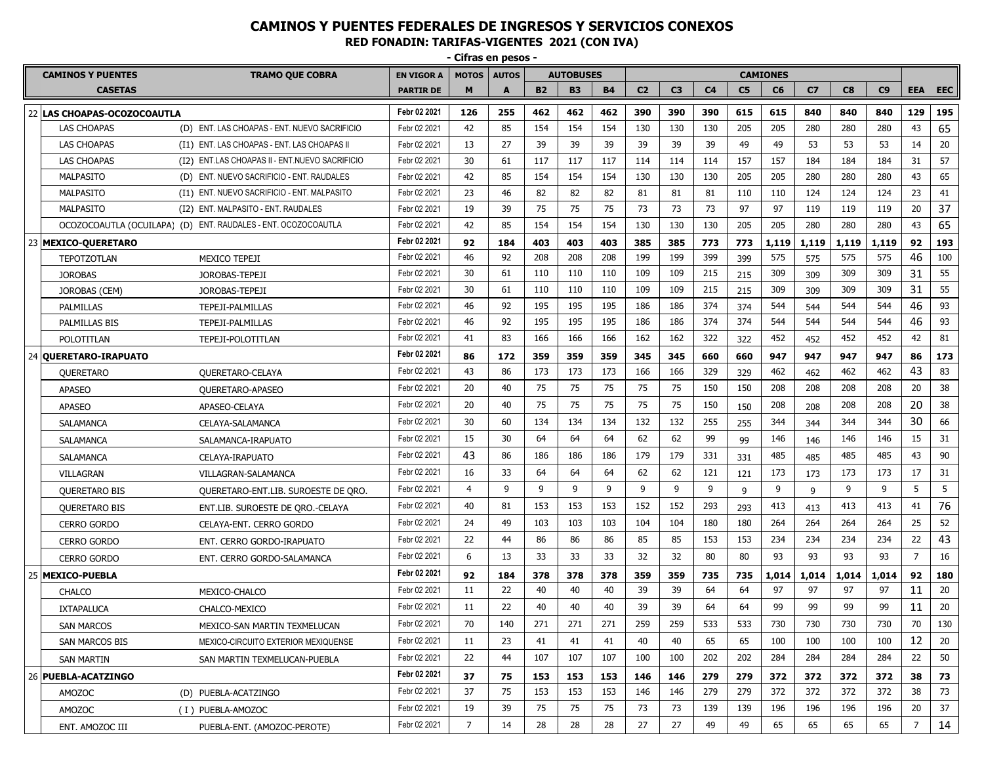**- Cifras en pesos - CAMINOS Y PUENTES TRAMO QUE COBRA EN VIGOR A MOTOS AUTOS AUTOBUSES CAMIONES CASETAS PARTIR DE M A B2 B3 B4 C2 C3 C4 C5 C6 C7 C8 C9 EEA EEC** 22 **LAS CHOAPAS-OCOZOCOAUTLA Febr 02 2021 126 255 462 462 462 390 390 390 615 615 840 840 840 129 195** LAS CHOAPAS (D) ENT. LAS CHOAPAS - ENT. NUEVO SACRIFICIO Febr 02 2021 | 42 | 85 | 154 | 154 | 154 | 130 | 130 | 130 | 205 | 205 | 280 | 280 | 280 | 43 | 65 LAS CHOAPAS (I1) ENT. LAS CHOAPAS - ENT. LAS CHOAPAS II Febr 02 2021 13 27 39 39 39 39 39 39 49 49 53 53 53 14 20 LAS CHOAPAS (I2) ENT.LAS CHOAPAS II - ENT.NUEVO SACRIFICIO Febr 02 2021 30 61 117 117 117 114 114 114 157 157 184 184 184 31 57 MALPASITO (D) ENT. NUEVO SACRIFICIO - ENT. RAUDALES Febr 02 2021 42 85 154 154 154 130 130 130 205 205 280 280 280 43 65 MALPASITO (I1) ENT. NUEVO SACRIFICIO - ENT. MALPASITO Febr 02 2021 | 23 | 46 | 82 | 82 | 82 | 81 | 81 | 81 | 110 | 110 | 124 | 124 | 124 | 23 | 41 MALPASITO (I2) ENT. MALPASITO - ENT. RAUDALES Febr 02 2021 19 39 75 75 75 73 73 73 97 97 119 119 119 20 37 OCOZOCOAUTLA (OCUILAPA) (D) ENT. RAUDALES - ENT. OCOZOCOAUTLA Febr 02 2021 42 85 154 154 154 130 130 130 205 205 280 280 280 43 65 23 **MEXICO-QUERETARO Febr 02 2021 92 184 403 403 403 385 385 773 773 1,119 1,119 1,119 1,119 92 193** TEPOTZOTLAN MEXICO TEPEJI Febr 02 2021 46 92 208 208 208 199 199 399 399 575 575 575 575 46 100 JOROBAS JOROBAS-TEPEJI Febr 02 2021 30 61 110 110 110 109 109 215 215 309 309 309 309 31 55 JOROBAS (CEM) JOROBAS-TEPEJI Febr 02 2021 30 61 110 110 110 109 109 215 215 309 309 309 309 31 55 PALMILLAS TEPEJI-PALMILLAS Febr 02 2021 46 92 195 195 195 186 186 374 374 544 544 544 544 46 93 PALMILLAS BIS TEPEJI-PALMILLAS Febr 02 2021 46 92 195 195 195 186 186 374 374 544 544 544 544 46 93 POLOTITLAN TEPEJI-POLOTITLAN Febr 02 2021 41 83 166 166 166 162 162 322 322 452 452 452 452 42 81 24 **QUERETARO-IRAPUATO Febr 02 2021 86 172 359 359 359 345 345 660 660 947 947 947 947 86 173** QUERETARO QUERETARO-CELAYA Febr 02 2021 43 86 173 173 173 166 166 329 329 462 462 462 462 43 83 APASEO QUERETARO-APASEO Febr 02 2021 20 40 75 75 75 75 75 150 150 208 208 208 208 20 38 APASEO APASEO-CELAYA Febr 02 2021 20 40 75 75 75 75 75 150 150 208 208 208 208 20 38 SALAMANCA CELAYA-SALAMANCA Febr 02 2021 30 60 134 134 134 132 132 255 255 344 344 344 344 30 66 SALAMANCA SALAMANCA-IRAPUATO Febr 02 2021 15 30 64 64 64 62 62 99 99 146 146 146 146 15 31 SALAMANCA CELAYA-IRAPUATO Febr 02 2021 43 86 186 186 186 179 179 331 331 485 485 485 485 43 90 VILLAGRAN VILLAGRAN-SALAMANCA Febr 02 2021 16 33 64 64 64 62 62 121 121 173 173 173 173 17 31 QUERETARO BIS QUERETARO-ENT.LIB. SUROESTE DE QRO. Febr 02 2021 4 9 9 9 9 9 9 9 9 9 9 9 9 5 5 QUERETARO BIS ENT.LIB. SUROESTE DE QRO.-CELAYA Febr 02 2021 | 40 | 81 | 153 | 153 | 153 | 152 | 152 | 293 | 293 | 413 | 413 | 413 | 413 | 41 | 76 CERRO GORDO CELAYA-ENT. CERRO GORDO Febr 02 2021 | 24 | 49 | 103 | 103 | 103 | 104 | 104 | 180 | 264 | 264 | 264 | 264 | 25 | 52 CERRO GORDO ENT. CERRO GORDO-IRAPUATO Febr 02 2021 22 44 86 86 86 85 85 153 153 234 234 234 234 22 43 CERRO GORDO ENT. CERRO GORDO-SALAMANCA Febr 02 2021 6 13 33 33 33 32 32 80 80 93 93 93 93 7 16 25 **MEXICO-PUEBLA Febr 02 2021 92 184 378 378 378 359 359 735 735 1,014 1,014 1,014 1,014 92 180** CHALCO MEXICO-CHALCO Febr 02 2021 11 22 40 40 40 39 39 64 64 97 97 97 97 11 20 IXTAPALUCA CHALCO-MEXICO Febr 02 2021 | 11 | 22 | 40 | 40 | 39 | 39 | 64 | 99 | 99 | 99 | 11 | 20 SAN MARCOS MEXICO-SAN MARTIN TEXMELUCAN Febr 02 2021 | 70 | 140 | 271 | 271 | 271 | 259 | 259 | 533 | 533 | 730 | 730 | 730 | 730 | 70 | 130 SAN MARCOS BIS MEXICO-CIRCUITO EXTERIOR MEXIQUENSE Febr 02 2021 | 11 | 23 | 41 | 41 | 41 | 40 | 40 | 65 | 65 | 100 | 100 | 100 | 100 | 12 | 20 SAN MARTIN SAN MARTIN TEXMELUCAN-PUEBLA Febr 02 2021 | 22 | 44 | 107 | 107 | 107 | 100 | 100 | 202 | 202 | 284 | 284 | 284 | 284 | 22 | 50 26 **PUEBLA-ACATZINGO Febr 02 2021 37 75 153 153 153 146 146 279 279 372 372 372 372 38 73** AMOZOC (D) PUEBLA-ACATZINGO Febr 02 2021 37 75 153 153 153 146 146 279 279 372 372 372 372 38 73 AMOZOC (I ) PUEBLA-AMOZOC Febr02 2021 | 19 | 39 | 75 | 75 | 75 | 73 | 73 | 139 | 139 | 196 | 196 | 196 | 196 | 20 | 37 ENT. AMOZOC III PUEBLA-ENT. (AMOZOC-PEROTE) Febr 02 2021 7 14 28 28 28 27 27 49 49 65 65 65 65 7 14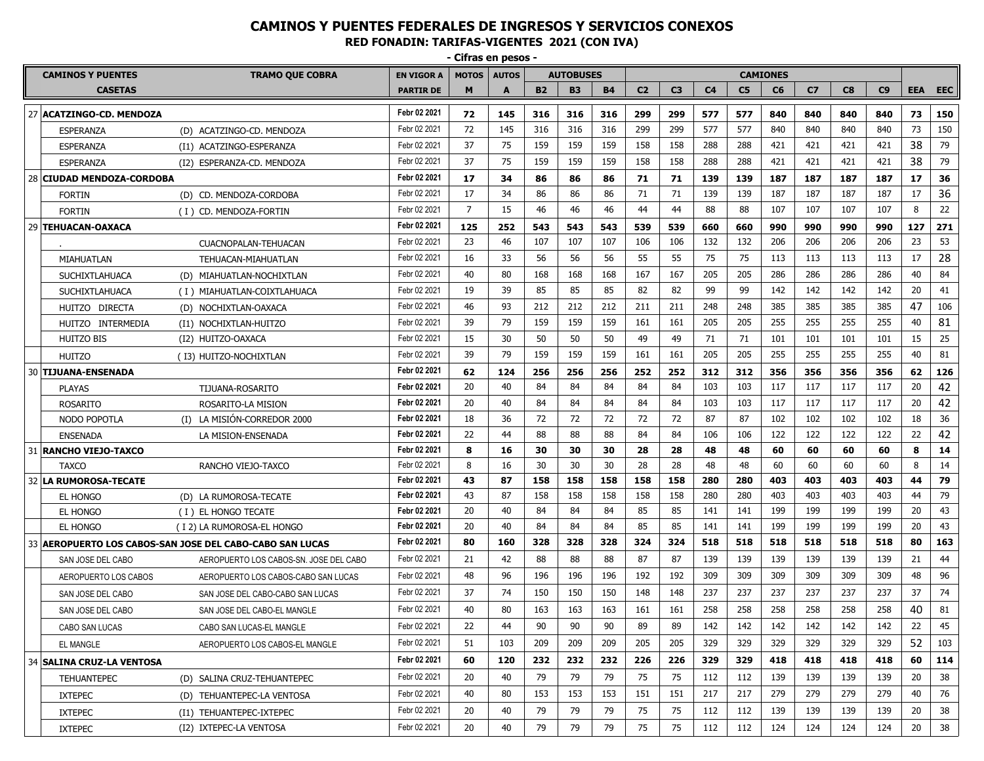**- Cifras en pesos -**

| <b>CAMINOS Y PUENTES</b><br><b>TRAMO QUE COBRA</b> |                           |                                                          | <b>EN VIGOR A</b> | <b>MOTOS</b>   | <b>AUTOS</b> |           | <b>AUTOBUSES</b> |           | <b>CAMIONES</b> |                |                |                |     |                |     |     |            |            |
|----------------------------------------------------|---------------------------|----------------------------------------------------------|-------------------|----------------|--------------|-----------|------------------|-----------|-----------------|----------------|----------------|----------------|-----|----------------|-----|-----|------------|------------|
|                                                    | <b>CASETAS</b>            |                                                          | <b>PARTIR DE</b>  | M              |              | <b>B2</b> | <b>B3</b>        | <b>B4</b> | C <sub>2</sub>  | C <sub>3</sub> | C <sub>4</sub> | C <sub>5</sub> | C6  | C <sub>7</sub> | C8  | C9  | <b>EEA</b> | <b>EEC</b> |
|                                                    | 27 ACATZINGO-CD. MENDOZA  |                                                          | Febr 02 2021      | 72             | 145          | 316       | 316              | 316       | 299             | 299            | 577            | 577            | 840 | 840            | 840 | 840 | 73         | 150        |
|                                                    | <b>ESPERANZA</b>          | (D) ACATZINGO-CD. MENDOZA                                | Febr 02 2021      | 72             | 145          | 316       | 316              | 316       | 299             | 299            | 577            | 577            | 840 | 840            | 840 | 840 | 73         | 150        |
|                                                    | ESPERANZA                 | (I1) ACATZINGO-ESPERANZA                                 | Febr 02 2021      | 37             | 75           | 159       | 159              | 159       | 158             | 158            | 288            | 288            | 421 | 421            | 421 | 421 | 38         | 79         |
|                                                    | ESPERANZA                 | (I2) ESPERANZA-CD. MENDOZA                               | Febr 02 2021      | 37             | 75           | 159       | 159              | 159       | 158             | 158            | 288            | 288            | 421 | 421            | 421 | 421 | 38         | 79         |
|                                                    | 28 CIUDAD MENDOZA-CORDOBA |                                                          | Febr 02 2021      | 17             | 34           | 86        | 86               | 86        | 71              | 71             | 139            | 139            | 187 | 187            | 187 | 187 | 17         | 36         |
|                                                    | <b>FORTIN</b>             | (D) CD. MENDOZA-CORDOBA                                  | Febr 02 2021      | 17             | 34           | 86        | 86               | 86        | 71              | 71             | 139            | 139            | 187 | 187            | 187 | 187 | 17         | 36         |
|                                                    | <b>FORTIN</b>             | (I) CD. MENDOZA-FORTIN                                   | Febr 02 2021      | $\overline{7}$ | 15           | 46        | 46               | 46        | 44              | 44             | 88             | 88             | 107 | 107            | 107 | 107 | 8          | 22         |
|                                                    | 29 TEHUACAN-OAXACA        |                                                          | Febr 02 2021      | 125            | 252          | 543       | 543              | 543       | 539             | 539            | 660            | 660            | 990 | 990            | 990 | 990 | 127        | 271        |
|                                                    |                           | CUACNOPALAN-TEHUACAN                                     | Febr 02 2021      | 23             | 46           | 107       | 107              | 107       | 106             | 106            | 132            | 132            | 206 | 206            | 206 | 206 | 23         | 53         |
|                                                    | MIAHUATLAN                | TEHUACAN-MIAHUATLAN                                      | Febr 02 2021      | 16             | 33           | 56        | 56               | 56        | 55              | 55             | 75             | 75             | 113 | 113            | 113 | 113 | 17         | 28         |
|                                                    | <b>SUCHIXTLAHUACA</b>     | (D) MIAHUATLAN-NOCHIXTLAN                                | Febr 02 2021      | 40             | 80           | 168       | 168              | 168       | 167             | 167            | 205            | 205            | 286 | 286            | 286 | 286 | 40         | 84         |
|                                                    | <b>SUCHIXTLAHUACA</b>     | (I) MIAHUATLAN-COIXTLAHUACA                              | Febr 02 2021      | 19             | 39           | 85        | 85               | 85        | 82              | 82             | 99             | 99             | 142 | 142            | 142 | 142 | 20         | 41         |
|                                                    | HUITZO DIRECTA            | (D) NOCHIXTLAN-OAXACA                                    | Febr 02 2021      | 46             | 93           | 212       | 212              | 212       | 211             | 211            | 248            | 248            | 385 | 385            | 385 | 385 | 47         | 106        |
|                                                    | HUITZO INTERMEDIA         | (I1) NOCHIXTLAN-HUITZO                                   | Febr 02 2021      | 39             | 79           | 159       | 159              | 159       | 161             | 161            | 205            | 205            | 255 | 255            | 255 | 255 | 40         | 81         |
|                                                    | HUITZO BIS                | (I2) HUITZO-OAXACA                                       | Febr 02 2021      | 15             | 30           | 50        | 50               | 50        | 49              | 49             | 71             | 71             | 101 | 101            | 101 | 101 | 15         | 25         |
|                                                    | HUITZO                    | (I3) HUITZO-NOCHIXTLAN                                   | Febr 02 2021      | 39             | 79           | 159       | 159              | 159       | 161             | 161            | 205            | 205            | 255 | 255            | 255 | 255 | 40         | 81         |
|                                                    | 30   TIJUANA-ENSENADA     |                                                          | Febr 02 2021      | 62             | 124          | 256       | 256              | 256       | 252             | 252            | 312            | 312            | 356 | 356            | 356 | 356 | 62         | 126        |
|                                                    | <b>PLAYAS</b>             | TIJUANA-ROSARITO                                         | Febr 02 2021      | 20             | 40           | 84        | 84               | 84        | 84              | 84             | 103            | 103            | 117 | 117            | 117 | 117 | 20         | 42         |
|                                                    | <b>ROSARITO</b>           | ROSARITO-LA MISION                                       | Febr 02 2021      | 20             | 40           | 84        | 84               | 84        | 84              | 84             | 103            | 103            | 117 | 117            | 117 | 117 | 20         | 42         |
|                                                    | NODO POPOTLA              | (I) LA MISIÓN-CORREDOR 2000                              | Febr 02 2021      | 18             | 36           | 72        | 72               | 72        | 72              | 72             | 87             | 87             | 102 | 102            | 102 | 102 | 18         | 36         |
|                                                    | <b>ENSENADA</b>           | LA MISION-ENSENADA                                       | Febr 02 2021      | 22             | 44           | 88        | 88               | 88        | 84              | 84             | 106            | 106            | 122 | 122            | 122 | 122 | 22         | 42         |
|                                                    | 31   RANCHO VIEJO-TAXCO   |                                                          | Febr 02 2021      | 8              | 16           | 30        | 30               | 30        | 28              | 28             | 48             | 48             | 60  | 60             | 60  | 60  | 8          | 14         |
|                                                    | <b>TAXCO</b>              | RANCHO VIEJO-TAXCO                                       | Febr 02 2021      | 8              | 16           | 30        | 30               | 30        | 28              | 28             | 48             | 48             | 60  | 60             | 60  | 60  | 8          | 14         |
|                                                    | 32 LA RUMOROSA-TECATE     |                                                          | Febr 02 2021      | 43             | 87           | 158       | 158              | 158       | 158             | 158            | 280            | 280            | 403 | 403            | 403 | 403 | 44         | 79         |
|                                                    | EL HONGO                  | (D) LA RUMOROSA-TECATE                                   | Febr 02 2021      | 43             | 87           | 158       | 158              | 158       | 158             | 158            | 280            | 280            | 403 | 403            | 403 | 403 | 44         | 79         |
|                                                    | EL HONGO                  | (I) EL HONGO TECATE                                      | Febr 02 2021      | 20             | 40           | 84        | 84               | 84        | 85              | 85             | 141            | 141            | 199 | 199            | 199 | 199 | 20         | 43         |
|                                                    | <b>EL HONGO</b>           | (I 2) LA RUMOROSA-EL HONGO                               | Febr 02 2021      | 20             | 40           | 84        | 84               | 84        | 85              | 85             | 141            | 141            | 199 | 199            | 199 | 199 | 20         | 43         |
|                                                    |                           | 33 AEROPUERTO LOS CABOS-SAN JOSE DEL CABO-CABO SAN LUCAS | Febr 02 2021      | 80             | 160          | 328       | 328              | 328       | 324             | 324            | 518            | 518            | 518 | 518            | 518 | 518 | 80         | 163        |
|                                                    | SAN JOSE DEL CABO         | AEROPUERTO LOS CABOS-SN. JOSE DEL CABO                   | Febr 02 2021      | 21             | 42           | 88        | 88               | 88        | 87              | 87             | 139            | 139            | 139 | 139            | 139 | 139 | 21         | 44         |
|                                                    | AEROPUERTO LOS CABOS      | AEROPUERTO LOS CABOS-CABO SAN LUCAS                      | Febr 02 2021      | 48             | 96           | 196       | 196              | 196       | 192             | 192            | 309            | 309            | 309 | 309            | 309 | 309 | 48         | 96         |
|                                                    | SAN JOSE DEL CABO         | SAN JOSE DEL CABO-CABO SAN LUCAS                         | Febr 02 2021      | 37             | 74           | 150       | 150              | 150       | 148             | 148            | 237            | 237            | 237 | 237            | 237 | 237 | 37         | 74         |
|                                                    | SAN JOSE DEL CABO         | SAN JOSE DEL CABO-EL MANGLE                              | Febr 02 2021      | 40             | 80           | 163       | 163              | 163       | 161             | 161            | 258            | 258            | 258 | 258            | 258 | 258 | 40         | 81         |
|                                                    | CABO SAN LUCAS            | CABO SAN LUCAS-EL MANGLE                                 | Febr 02 2021      | 22             | 44           | 90        | 90               | 90        | 89              | 89             | 142            | 142            | 142 | 142            | 142 | 142 | 22         | 45         |
|                                                    | EL MANGLE                 | AEROPUERTO LOS CABOS-EL MANGLE                           | Febr 02 2021      | 51             | 103          | 209       | 209              | 209       | 205             | 205            | 329            | 329            | 329 | 329            | 329 | 329 | 52         | 103        |
|                                                    | 34 SALINA CRUZ-LA VENTOSA |                                                          | Febr 02 2021      | 60             | 120          | 232       | 232              | 232       | 226             | 226            | 329            | 329            | 418 | 418            | 418 | 418 | 60         | 114        |
|                                                    | <b>TEHUANTEPEC</b>        | (D) SALINA CRUZ-TEHUANTEPEC                              | Febr 02 2021      | 20             | 40           | 79        | 79               | 79        | 75              | 75             | 112            | 112            | 139 | 139            | 139 | 139 | 20         | 38         |
|                                                    | <b>IXTEPEC</b>            | (D) TEHUANTEPEC-LA VENTOSA                               | Febr 02 2021      | 40             | 80           | 153       | 153              | 153       | 151             | 151            | 217            | 217            | 279 | 279            | 279 | 279 | 40         | 76         |
|                                                    | <b>IXTEPEC</b>            | (I1) TEHUANTEPEC-IXTEPEC                                 | Febr 02 2021      | 20             | 40           | 79        | 79               | 79        | 75              | 75             | 112            | 112            | 139 | 139            | 139 | 139 | 20         | 38         |
|                                                    | <b>IXTEPEC</b>            | (I2) IXTEPEC-LA VENTOSA                                  | Febr 02 2021      | 20             | 40           | 79        | 79               | 79        | 75              | 75             | 112            | 112            | 124 | 124            | 124 | 124 | 20         | 38         |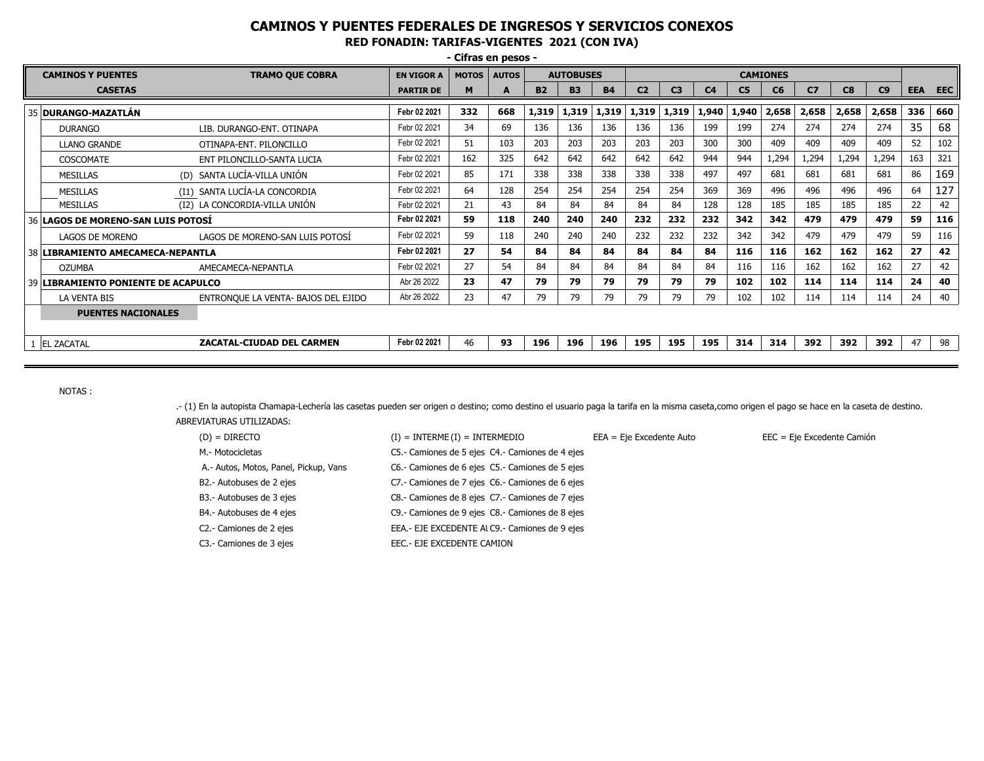| - Cifras en pesos -                 |                                     |                   |              |              |           |                  |           |                 |                |                |                |       |                |       |       |            |            |
|-------------------------------------|-------------------------------------|-------------------|--------------|--------------|-----------|------------------|-----------|-----------------|----------------|----------------|----------------|-------|----------------|-------|-------|------------|------------|
| <b>CAMINOS Y PUENTES</b>            | <b>TRAMO QUE COBRA</b>              | <b>EN VIGOR A</b> | <b>MOTOS</b> | <b>AUTOS</b> |           | <b>AUTOBUSES</b> |           | <b>CAMIONES</b> |                |                |                |       |                |       |       |            |            |
| <b>CASETAS</b>                      |                                     | <b>PARTIR DE</b>  | M            |              | <b>B2</b> | <b>B3</b>        | <b>B4</b> | C <sub>2</sub>  | C <sub>3</sub> | C <sub>4</sub> | C <sub>5</sub> | C6    | C <sub>7</sub> | C8    | C9    | <b>EEA</b> | <b>EEC</b> |
| 35   DURANGO-MAZATLÁN               |                                     | Febr 02 2021      | 332          | 668          | 1,319     | 1,319            | 1,319     | 1,319           | 1,319          | 1,940          | 1,940          | 2,658 | 2,658          | 2,658 | 2,658 | 336        | 660        |
| <b>DURANGO</b>                      | LIB. DURANGO-ENT. OTINAPA           | Febr 02 2021      | 34           | 69           | 136       | 136              | 136       | 136             | 136            | 199            | 199            | 274   | 274            | 274   | 274   | 35         | 68         |
| <b>LLANO GRANDE</b>                 | OTINAPA-ENT. PILONCILLO             | Febr 02 2021      | 51           | 103          | 203       | 203              | 203       | 203             | 203            | 300            | 300            | 409   | 409            | 409   | 409   | 52         | 102        |
| COSCOMATE                           | ENT PILONCILLO-SANTA LUCIA          | Febr 02 2021      | 162          | 325          | 642       | 642              | 642       | 642             | 642            | 944            | 944            | 1,294 | 1,294          | 1,294 | 1,294 | 163        | 321        |
| <b>MESILLAS</b>                     | (D) SANTA LUCÍA-VILLA UNIÓN         | Febr 02 2021      | 85           | 171          | 338       | 338              | 338       | 338             | 338            | 497            | 497            | 681   | 681            | 681   | 681   | 86         | 169        |
| <b>MESILLAS</b>                     | (I1) SANTA LUCÍA-LA CONCORDIA       | Febr 02 2021      | 64           | 128          | 254       | 254              | 254       | 254             | 254            | 369            | 369            | 496   | 496            | 496   | 496   | 64         | 127        |
| <b>MESILLAS</b>                     | (I2) LA CONCORDIA-VILLA UNIÓN       | Febr 02 2021      | 21           | 43           | 84        | 84               | 84        | 84              | 84             | 128            | 128            | 185   | 185            | 185   | 185   | 22         | 42         |
| 36 LAGOS DE MORENO-SAN LUIS POTOSI  |                                     | Febr 02 2021      | 59           | 118          | 240       | 240              | 240       | 232             | 232            | 232            | 342            | 342   | 479            | 479   | 479   | 59         | 116        |
| <b>LAGOS DE MORENO</b>              | LAGOS DE MORENO-SAN LUIS POTOSI     | Febr 02 2021      | 59           | 118          | 240       | 240              | 240       | 232             | 232            | 232            | 342            | 342   | 479            | 479   | 479   | 59         | 116        |
| 38 LIBRAMIENTO AMECAMECA-NEPANTLA   |                                     | Febr 02 2021      | 27           | 54           | 84        | 84               | 84        | 84              | 84             | 84             | 116            | 116   | 162            | 162   | 162   | 27         | 42         |
| <b>OZUMBA</b>                       | AMECAMECA-NEPANTLA                  | Febr 02 2021      | 27           | 54           | 84        | 84               | 84        | 84              | 84             | 84             | 116            | 116   | 162            | 162   | 162   | 27         | 42         |
| 39 LIBRAMIENTO PONIENTE DE ACAPULCO |                                     | Abr 26 2022       | 23           | 47           | 79        | 79               | 79        | 79              | 79             | 79             | 102            | 102   | 114            | 114   | 114   | 24         | 40         |
| LA VENTA BIS                        | ENTRONQUE LA VENTA- BAJOS DEL EJIDO | Abr 26 2022       | 23           | 47           | 79        | 79               | 79        | 79              | 79             | 79             | 102            | 102   | 114            | 114   | 114   | 24         | 40         |
| <b>PUENTES NACIONALES</b>           |                                     |                   |              |              |           |                  |           |                 |                |                |                |       |                |       |       |            |            |
| 1 EL ZACATAL                        | Febr 02 2021                        | 46                | 93           | 196          | 196       | 196              | 195       | 195             | 195            | 314            | 314            | 392   | 392            | 392   | 47    | 98         |            |

NOTAS :

.- (1) En la autopista Chamapa-Lechería las casetas pueden ser origen o destino; como destino el usuario paga la tarifa en la misma caseta,como origen el pago se hace en la caseta de destino. ABREVIATURAS UTILIZADAS:

| $(D) = DIRECTO$                       | $(I) = INTERME(I) = INTERMEDIO$                   | $EEA = Eje Excedente Auto$ | EEC = Eje Excedente Camión |
|---------------------------------------|---------------------------------------------------|----------------------------|----------------------------|
| M.- Motocicletas                      | C5.- Camiones de 5 ejes C4.- Camiones de 4 ejes   |                            |                            |
| A.- Autos, Motos, Panel, Pickup, Vans | C6.- Camiones de 6 ejes C5.- Camiones de 5 ejes   |                            |                            |
| B2.- Autobuses de 2 ejes              | C7 .- Camiones de 7 ejes C6 .- Camiones de 6 ejes |                            |                            |
| B3.- Autobuses de 3 ejes              | C8.- Camiones de 8 ejes C7.- Camiones de 7 ejes   |                            |                            |
| B4.- Autobuses de 4 ejes              | C9.- Camiones de 9 ejes C8.- Camiones de 8 ejes   |                            |                            |
| C2.- Camiones de 2 ejes               | EEA.- EJE EXCEDENTE ALC9.- Camiones de 9 ejes     |                            |                            |
| C3.- Camiones de 3 ejes               | EEC.- EJE EXCEDENTE CAMION                        |                            |                            |
|                                       |                                                   |                            |                            |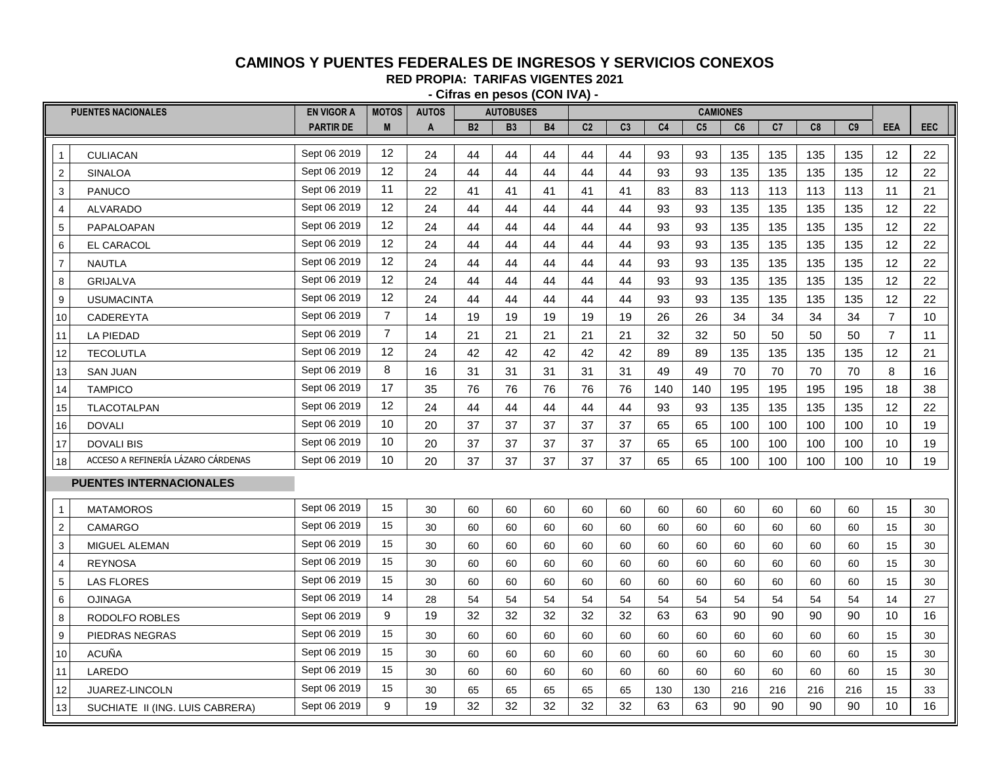#### **CAMINOS Y PUENTES FEDERALES DE INGRESOS Y SERVICIOS CONEXOS**

**RED PROPIA: TARIFAS VIGENTES 2021**

| - Cifras en pesos (CON IVA) - |                                    |                   |                   |              |                |                  |    |                |                |     |                |                 |     |     |                |                |            |
|-------------------------------|------------------------------------|-------------------|-------------------|--------------|----------------|------------------|----|----------------|----------------|-----|----------------|-----------------|-----|-----|----------------|----------------|------------|
|                               | <b>PUENTES NACIONALES</b>          | <b>EN VIGOR A</b> | <b>MOTOS</b>      | <b>AUTOS</b> |                | <b>AUTOBUSES</b> |    |                |                |     |                | <b>CAMIONES</b> |     |     |                |                |            |
|                               |                                    | <b>PARTIR DE</b>  | M                 | A            | B <sub>2</sub> | <b>B3</b>        | B4 | C <sub>2</sub> | C <sub>3</sub> | C4  | C <sub>5</sub> | C6              | C7  | C8  | C <sub>9</sub> | EEA            | <b>EEC</b> |
| $\mathbf{1}$                  | <b>CULIACAN</b>                    | Sept 06 2019      | 12                | 24           | 44             | 44               | 44 | 44             | 44             | 93  | 93             | 135             | 135 | 135 | 135            | 12             | 22         |
| $\overline{2}$                | <b>SINALOA</b>                     | Sept 06 2019      | 12                | 24           | 44             | 44               | 44 | 44             | 44             | 93  | 93             | 135             | 135 | 135 | 135            | 12             | 22         |
| $\mathsf 3$                   | <b>PANUCO</b>                      | Sept 06 2019      | 11                | 22           | 41             | 41               | 41 | 41             | 41             | 83  | 83             | 113             | 113 | 113 | 113            | 11             | 21         |
| $\overline{4}$                | <b>ALVARADO</b>                    | Sept 06 2019      | 12                | 24           | 44             | 44               | 44 | 44             | 44             | 93  | 93             | 135             | 135 | 135 | 135            | 12             | 22         |
| $\frac{5}{1}$                 | PAPALOAPAN                         | Sept 06 2019      | $12 \overline{ }$ | 24           | 44             | 44               | 44 | 44             | 44             | 93  | 93             | 135             | 135 | 135 | 135            | 12             | 22         |
| 6                             | <b>EL CARACOL</b>                  | Sept 06 2019      | 12                | 24           | 44             | 44               | 44 | 44             | 44             | 93  | 93             | 135             | 135 | 135 | 135            | 12             | 22         |
| $\boldsymbol{7}$              | <b>NAUTLA</b>                      | Sept 06 2019      | $12 \overline{ }$ | 24           | 44             | 44               | 44 | 44             | 44             | 93  | 93             | 135             | 135 | 135 | 135            | 12             | 22         |
| 8                             | <b>GRIJALVA</b>                    | Sept 06 2019      | $12 \overline{ }$ | 24           | 44             | 44               | 44 | 44             | 44             | 93  | 93             | 135             | 135 | 135 | 135            | 12             | 22         |
| $\overline{9}$                | <b>USUMACINTA</b>                  | Sept 06 2019      | 12                | 24           | 44             | 44               | 44 | 44             | 44             | 93  | 93             | 135             | 135 | 135 | 135            | 12             | 22         |
| 10                            | CADEREYTA                          | Sept 06 2019      | $\overline{7}$    | 14           | 19             | 19               | 19 | 19             | 19             | 26  | 26             | 34              | 34  | 34  | 34             | $\overline{7}$ | 10         |
| 11                            | <b>LA PIEDAD</b>                   | Sept 06 2019      | $\overline{7}$    | 14           | 21             | 21               | 21 | 21             | 21             | 32  | 32             | 50              | 50  | 50  | 50             | $\overline{7}$ | 11         |
| 12                            | <b>TECOLUTLA</b>                   | Sept 06 2019      | 12                | 24           | 42             | 42               | 42 | 42             | 42             | 89  | 89             | 135             | 135 | 135 | 135            | 12             | 21         |
| 13                            | <b>SAN JUAN</b>                    | Sept 06 2019      | 8                 | 16           | 31             | 31               | 31 | 31             | 31             | 49  | 49             | 70              | 70  | 70  | 70             | 8              | 16         |
| 14                            | <b>TAMPICO</b>                     | Sept 06 2019      | 17                | 35           | 76             | 76               | 76 | 76             | 76             | 140 | 140            | 195             | 195 | 195 | 195            | 18             | 38         |
| 15                            | TLACOTALPAN                        | Sept 06 2019      | 12                | 24           | 44             | 44               | 44 | 44             | 44             | 93  | 93             | 135             | 135 | 135 | 135            | 12             | 22         |
| 16                            | <b>DOVALI</b>                      | Sept 06 2019      | 10                | 20           | 37             | 37               | 37 | 37             | 37             | 65  | 65             | 100             | 100 | 100 | 100            | 10             | 19         |
| 17                            | <b>DOVALI BIS</b>                  | Sept 06 2019      | 10                | 20           | 37             | 37               | 37 | 37             | 37             | 65  | 65             | 100             | 100 | 100 | 100            | 10             | 19         |
| 18                            | ACCESO A REFINERÍA LÁZARO CÁRDENAS | Sept 06 2019      | 10                | 20           | 37             | 37               | 37 | 37             | 37             | 65  | 65             | 100             | 100 | 100 | 100            | 10             | 19         |
|                               | <b>PUENTES INTERNACIONALES</b>     |                   |                   |              |                |                  |    |                |                |     |                |                 |     |     |                |                |            |
| $\mathbf{1}$                  | <b>MATAMOROS</b>                   | Sept 06 2019      | 15                | 30           | 60             | 60               | 60 | 60             | 60             | 60  | 60             | 60              | 60  | 60  | 60             | 15             | $30\,$     |
| $\overline{\mathbf{c}}$       | <b>CAMARGO</b>                     | Sept 06 2019      | 15                | 30           | 60             | 60               | 60 | 60             | 60             | 60  | 60             | 60              | 60  | 60  | 60             | 15             | $30\,$     |
| $\overline{3}$                | MIGUEL ALEMAN                      | Sept 06 2019      | 15                | 30           | 60             | 60               | 60 | 60             | 60             | 60  | 60             | 60              | 60  | 60  | 60             | 15             | 30         |
| 4                             | <b>REYNOSA</b>                     | Sept 06 2019      | 15                | 30           | 60             | 60               | 60 | 60             | 60             | 60  | 60             | 60              | 60  | 60  | 60             | 15             | 30         |
| $\sqrt{5}$                    | <b>LAS FLORES</b>                  | Sept 06 2019      | 15                | 30           | 60             | 60               | 60 | 60             | 60             | 60  | 60             | 60              | 60  | 60  | 60             | 15             | 30         |
| 6                             | <b>OJINAGA</b>                     | Sept 06 2019      | 14                | 28           | 54             | 54               | 54 | 54             | 54             | 54  | 54             | 54              | 54  | 54  | 54             | 14             | 27         |
| 8                             | RODOLFO ROBLES                     | Sept 06 2019      | 9                 | 19           | 32             | 32               | 32 | 32             | 32             | 63  | 63             | 90              | 90  | 90  | 90             | 10             | 16         |
| 9                             | PIEDRAS NEGRAS                     | Sept 06 2019      | 15                | 30           | 60             | 60               | 60 | 60             | 60             | 60  | 60             | 60              | 60  | 60  | 60             | 15             | 30         |
| 10                            | <b>ACUÑA</b>                       | Sept 06 2019      | 15                | 30           | 60             | 60               | 60 | 60             | 60             | 60  | 60             | 60              | 60  | 60  | 60             | 15             | 30         |
| 11                            | LAREDO                             | Sept 06 2019      | 15                | 30           | 60             | 60               | 60 | 60             | 60             | 60  | 60             | 60              | 60  | 60  | 60             | 15             | 30         |
| 12                            | JUAREZ-LINCOLN                     | Sept 06 2019      | 15                | 30           | 65             | 65               | 65 | 65             | 65             | 130 | 130            | 216             | 216 | 216 | 216            | 15             | 33         |

13 SUCHIATE II (ING. LUIS CABRERA) Sept 06 2019 9 19 32 32 32 32 32 32 63 63 63 90 90 90 90 10 16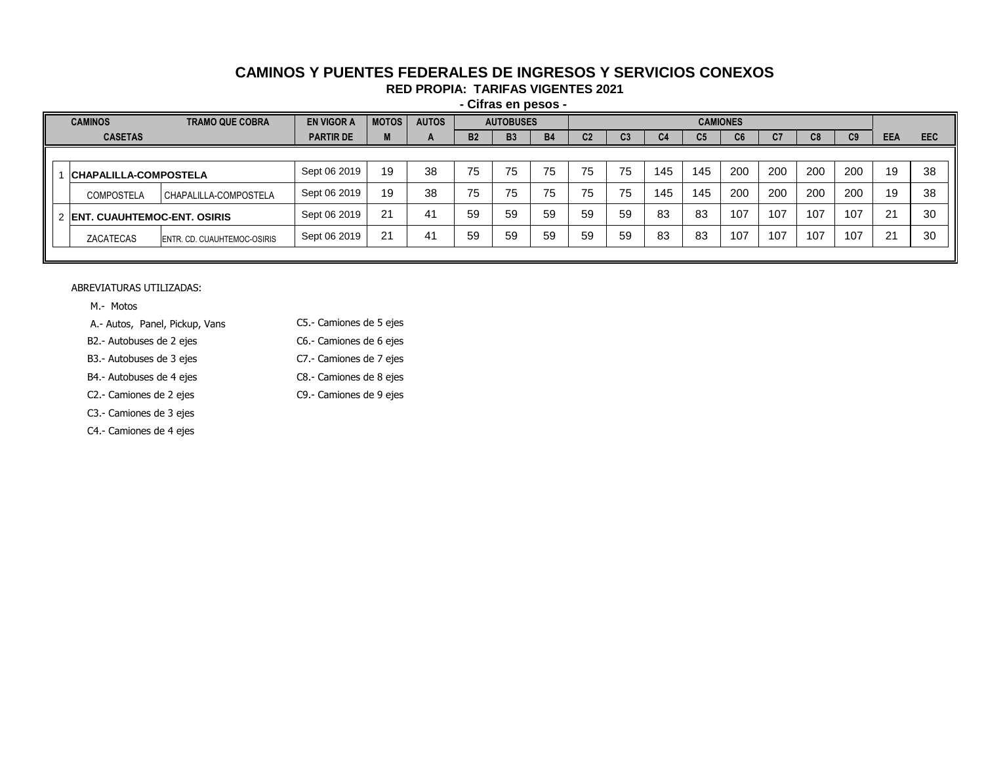# **CAMINOS Y PUENTES FEDERALES DE INGRESOS Y SERVICIOS CONEXOS**

**RED PROPIA: TARIFAS VIGENTES 2021**

**- Cifras en pesos -**

| <b>CAMINOS</b><br><b>TRAMO QUE COBRA</b> |                             | <b>EN VIGOR A</b> | <b>MOTOS</b> | <b>AUTOS</b>          |           | <b>AUTOBUSES</b> |           | <b>CAMIONES</b> |    |     |                |     |            |     |                |            |            |
|------------------------------------------|-----------------------------|-------------------|--------------|-----------------------|-----------|------------------|-----------|-----------------|----|-----|----------------|-----|------------|-----|----------------|------------|------------|
| <b>CASETAS</b>                           |                             | <b>PARTIR DE</b>  | M            | $\mathbf{A}$          | <b>B2</b> | <b>B3</b>        | <b>B4</b> | C2              | სა | C4  | C <sub>5</sub> | Cb. | C7         | C8  | C <sub>9</sub> | <b>EEA</b> | <b>EEC</b> |
|                                          |                             |                   |              |                       |           |                  |           |                 |    |     |                |     |            |     |                |            |            |
| <b>CHAPALILLA-COMPOSTELA</b>             |                             | Sept 06 2019      | 19           | 38                    | 75        | 75               | 75        | 75              | 75 | 145 | 145            | 200 | <b>200</b> | 200 | 200            | 19         | -38        |
| <b>COMPOSTELA</b>                        | CHAPALILLA-COMPOSTELA       | Sept 06 2019      | 19           | 38                    | 75        | 75               | 75        | 75              | 75 | 145 | 145            | 200 | 200        | 200 | 200            | 19         | 38         |
| 2 ENT. CUAUHTEMOC-ENT. OSIRIS            |                             | Sept 06 2019      | 21           | 41                    | 59        | 59               | 59        | 59              | 59 | 83  | 83             | 107 | 107        | 107 | 107            | 21         | -30        |
| ZACATECAS                                | ENTR. CD. CUAUHTEMOC-OSIRIS | Sept 06 2019      | 21           | $\mathbf{A}^{\prime}$ | 59        | 59               | 59        | 59              | 59 | 83  | 83             | 107 | 107        | 107 | 107            | 21         | 30         |
|                                          |                             |                   |              |                       |           |                  |           |                 |    |     |                |     |            |     |                |            |            |

ABREVIATURAS UTILIZADAS:

M.- Motos

A.- Autos, Panel, Pickup, Vans C5.- Camiones de 5 ejes

B2.- Autobuses de 2 ejes C6.- Camiones de 6 ejes

- B3.- Autobuses de 3 ejes C7.- Camiones de 7 ejes
	-
- B4.- Autobuses de 4 ejes C8.- Camiones de 8 ejes

C2.- Camiones de 2 ejes C9.- Camiones de 9 ejes

- C3.- Camiones de 3 ejes
- C4.- Camiones de 4 ejes